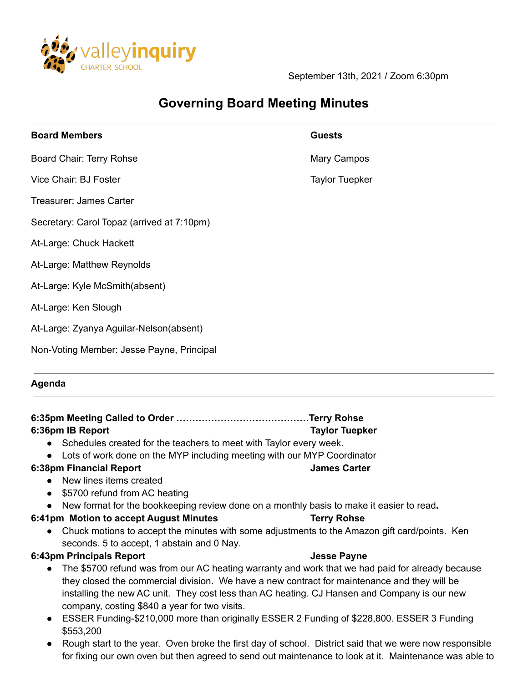

September 13th, 2021 / Zoom 6:30pm

## **Governing Board Meeting Minutes**

| <b>Board Members</b> | <b>Guests</b> |
|----------------------|---------------|
|                      |               |

Board Chair: Terry Rohse Mary Campos

- Vice Chair: BJ Foster Taylor Tuepker
- Treasurer: James Carter
- Secretary: Carol Topaz (arrived at 7:10pm)
- At-Large: Chuck Hackett
- At-Large: Matthew Reynolds
- At-Large: Kyle McSmith(absent)
- At-Large: Ken Slough
- At-Large: Zyanya Aguilar-Nelson(absent)
- Non-Voting Member: Jesse Payne, Principal

## **Agenda**

**6:35pm Meeting Called to Order ……………………………………Terry Rohse 6:36pm IB Report Taylor Tuepker** ● Schedules created for the teachers to meet with Taylor every week. ● Lots of work done on the MYP including meeting with our MYP Coordinator **6:38pm Financial Report James Carter** ● New lines items created • \$5700 refund from AC heating **●** New format for the bookkeeping review done on a monthly basis to make it easier to read**. 6:41pm Motion to accept August Minutes Terry Rohse** ● Chuck motions to accept the minutes with some adjustments to the Amazon gift card/points. Ken seconds. 5 to accept, 1 abstain and 0 Nay. **6:43pm Principals Report Jesse Payne** ● The \$5700 refund was from our AC heating warranty and work that we had paid for already because they closed the commercial division. We have a new contract for maintenance and they will be installing the new AC unit. They cost less than AC heating. CJ Hansen and Company is our new company, costing \$840 a year for two visits. ● ESSER Funding-\$210,000 more than originally ESSER 2 Funding of \$228,800. ESSER 3 Funding \$553,200 • Rough start to the year. Oven broke the first day of school. District said that we were now responsible for fixing our own oven but then agreed to send out maintenance to look at it. Maintenance was able to